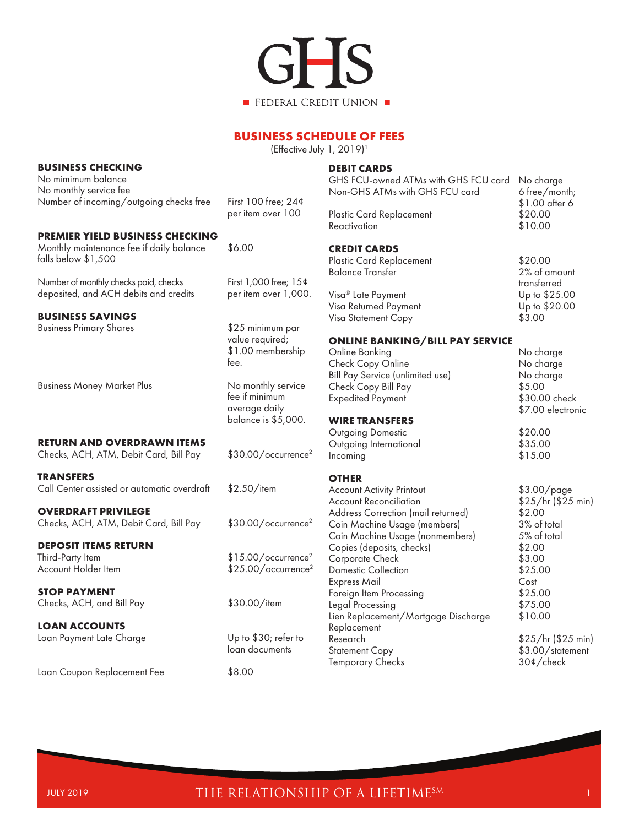

## **BUSINESS SCHEDULE OF FEES**

(Effective July 1, 2019)1

## **BUSINESS CHECKING**

No mimimum balance No monthly service fee Number of incoming/outgoing checks free First 100 free; 24¢

#### **PREMIER YIELD BUSINESS CHECKING**

Monthly maintenance fee if daily balance \$6.00 falls below \$1,500

Number of monthly checks paid, checks First 1,000 free; 15¢ deposited, and ACH debits and credits per item over 1,000.

#### **BUSINESS SAVINGS**

Business Primary Shares **\$25 minimum parts** 

Business Money Market Plus No monthly service

per item over 100

 value required; \$1.00 membership fee. The contract of the contract of the contract of the contract of the contract of the contract of the contract of the contract of the contract of the contract of the contract of the contract of the contract of the contr

> fee if minimum average daily balance is \$5,000.

**RETURN AND OVERDRAWN ITEMS**

Checks, ACH, ATM, Debit Card, Bill Pay \$30.00/occurrence<sup>2</sup>

**TRANSFERS**

Call Center assisted or automatic overdraft \$2.50/item

**OVERDRAFT PRIVILEGE** Checks, ACH, ATM, Debit Card, Bill Pay \$30.00/occurrence<sup>2</sup>

**DEPOSIT ITEMS RETURN**<br>Third-Party Item

**STOP PAYMENT**

Checks, ACH, and Bill Pay \$30.00/item

## **LOAN ACCOUNTS** Loan Payment Late Charge Up to \$30; refer to

Loan Coupon Replacement Fee  $$8.00$ 

 $$15.00/occurrence<sup>2</sup>$ 

Account Holder Item  $$25.00/occurrence<sup>2</sup>$ 

loan documents

## **DEBIT CARDS**

| GHS FCU-owned ATMs with GHS FCU card<br>Non-GHS ATMs with GHS FCU card | No charge<br>6 free/month;<br>\$1.00 after 6 |
|------------------------------------------------------------------------|----------------------------------------------|
| <b>Plastic Card Replacement</b><br>Reactivation                        | \$20.00<br>\$10.00                           |
| <b>CREDIT CARDS</b>                                                    |                                              |
| Plastic Card Replacement                                               | \$20.00                                      |
| <b>Balance Transfer</b>                                                | 2% of amount<br>transferred                  |
| Visa <sup>®</sup> Late Payment                                         | Up to \$25.00                                |
| Visa Returned Payment                                                  | Up to \$20.00                                |
| Visa Statement Copy                                                    | \$3.00                                       |
| <b>ONLINE BANKING/BILL PAY SERVICE</b>                                 |                                              |
| $\bigcap_{n=1}^{n}$ is a possibility of                                | متمسمات باللا                                |

## Online Banking No charge Check Copy Online No charge Bill Pay Service (unlimited use) No charge Check Copy Bill Pay  $$5.00$ <br>Expedited Payment  $$30.00$  check Expedited Payment \$7.00 electronic **WIRE TRANSFERS** Outgoing Domestic \$20.00 Outgoing International Incoming \$15.00 **OTHER** Account Activity Printout \$3.00/page Account Reconciliation  $$25/hr ($25 min)$ <br>Address Correction (mail returned)  $$2.00$ Address Correction (mail returned) Coin Machine Usage (members) 3% of total Coin Machine Usage (nonmembers) Copies (deposits, checks) \$2.00 Corporate Check \$3.00 Domestic Collection  $$25.00$ Express Mail Cost Foreign Item Processing  $$25.00$ <br>Leaal Processing  $$75.00$ Legal Processing Lien Replacement/Mortgage Discharge \$10.00 Replacement

Research \$25/hr (\$25 min) \$3.00/statement Temporary Checks 30¢/check

# JULY 2019 **THE RELATIONSHIP OF A LIFETIME**SM